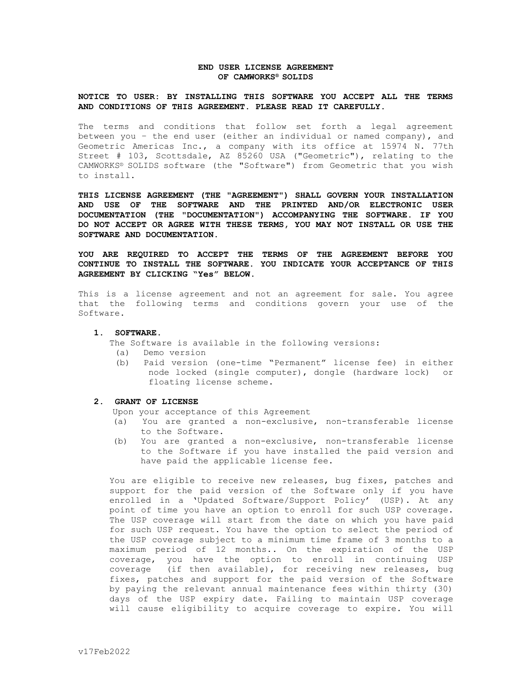# **END USER LICENSE AGREEMENT OF CAMWORKS® SOLIDS**

### **NOTICE TO USER: BY INSTALLING THIS SOFTWARE YOU ACCEPT ALL THE TERMS AND CONDITIONS OF THIS AGREEMENT. PLEASE READ IT CAREFULLY.**

The terms and conditions that follow set forth a legal agreement between you – the end user (either an individual or named company), and Geometric Americas Inc., a company with its office at 15974 N. 77th Street # 103, Scottsdale, AZ 85260 USA ("Geometric"), relating to the CAMWORKS® SOLIDS software (the "Software") from Geometric that you wish to install.

**THIS LICENSE AGREEMENT (THE "AGREEMENT") SHALL GOVERN YOUR INSTALLATION AND USE OF THE SOFTWARE AND THE PRINTED AND/OR ELECTRONIC USER DOCUMENTATION (THE "DOCUMENTATION") ACCOMPANYING THE SOFTWARE. IF YOU DO NOT ACCEPT OR AGREE WITH THESE TERMS, YOU MAY NOT INSTALL OR USE THE SOFTWARE AND DOCUMENTATION.** 

**YOU ARE REQUIRED TO ACCEPT THE TERMS OF THE AGREEMENT BEFORE YOU CONTINUE TO INSTALL THE SOFTWARE. YOU INDICATE YOUR ACCEPTANCE OF THIS AGREEMENT BY CLICKING "Yes" BELOW.**

This is a license agreement and not an agreement for sale. You agree that the following terms and conditions govern your use of the Software.

# **1. SOFTWARE.**

The Software is available in the following versions:

- (a) Demo version
- (b) Paid version (one-time "Permanent" license fee) in either node locked (single computer), dongle (hardware lock) or floating license scheme.

# **2. GRANT OF LICENSE**

Upon your acceptance of this Agreement

- (a) You are granted a non-exclusive, non-transferable license to the Software.
- (b) You are granted a non-exclusive, non-transferable license to the Software if you have installed the paid version and have paid the applicable license fee.

You are eligible to receive new releases, bug fixes, patches and support for the paid version of the Software only if you have enrolled in a 'Updated Software/Support Policy' (USP). At any point of time you have an option to enroll for such USP coverage. The USP coverage will start from the date on which you have paid for such USP request. You have the option to select the period of the USP coverage subject to a minimum time frame of 3 months to a maximum period of 12 months.. On the expiration of the USP coverage, you have the option to enroll in continuing USP coverage (if then available), for receiving new releases, bug fixes, patches and support for the paid version of the Software by paying the relevant annual maintenance fees within thirty (30) days of the USP expiry date. Failing to maintain USP coverage will cause eligibility to acquire coverage to expire. You will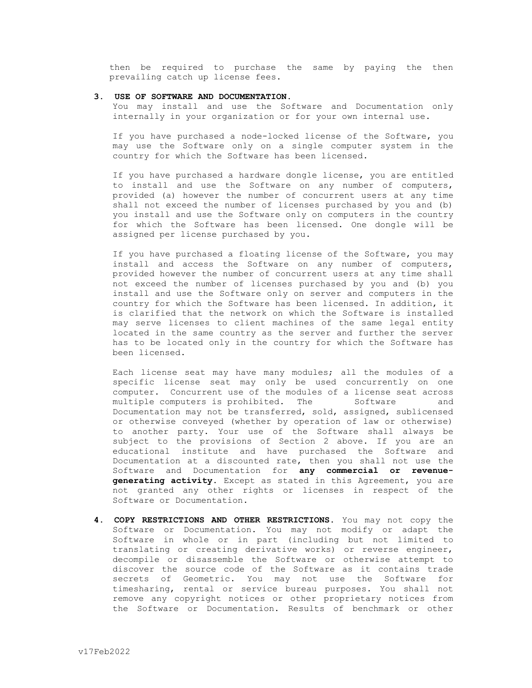then be required to purchase the same by paying the then prevailing catch up license fees.

#### **3. USE OF SOFTWARE AND DOCUMENTATION.**

You may install and use the Software and Documentation only internally in your organization or for your own internal use.

If you have purchased a node-locked license of the Software, you may use the Software only on a single computer system in the country for which the Software has been licensed.

If you have purchased a hardware dongle license, you are entitled to install and use the Software on any number of computers, provided (a) however the number of concurrent users at any time shall not exceed the number of licenses purchased by you and (b) you install and use the Software only on computers in the country for which the Software has been licensed. One dongle will be assigned per license purchased by you.

If you have purchased a floating license of the Software, you may install and access the Software on any number of computers, provided however the number of concurrent users at any time shall not exceed the number of licenses purchased by you and (b) you install and use the Software only on server and computers in the country for which the Software has been licensed. In addition, it is clarified that the network on which the Software is installed may serve licenses to client machines of the same legal entity located in the same country as the server and further the server has to be located only in the country for which the Software has been licensed.

Each license seat may have many modules; all the modules of a specific license seat may only be used concurrently on one computer. Concurrent use of the modules of a license seat across multiple computers is prohibited. The Software and Documentation may not be transferred, sold, assigned, sublicensed or otherwise conveyed (whether by operation of law or otherwise) to another party. Your use of the Software shall always be subject to the provisions of Section 2 above. If you are an educational institute and have purchased the Software and Documentation at a discounted rate, then you shall not use the Software and Documentation for **any commercial or revenuegenerating activity.** Except as stated in this Agreement, you are not granted any other rights or licenses in respect of the Software or Documentation.

**4. COPY RESTRICTIONS AND OTHER RESTRICTIONS.** You may not copy the Software or Documentation. You may not modify or adapt the Software in whole or in part (including but not limited to translating or creating derivative works) or reverse engineer, decompile or disassemble the Software or otherwise attempt to discover the source code of the Software as it contains trade secrets of Geometric. You may not use the Software for timesharing, rental or service bureau purposes. You shall not remove any copyright notices or other proprietary notices from the Software or Documentation. Results of benchmark or other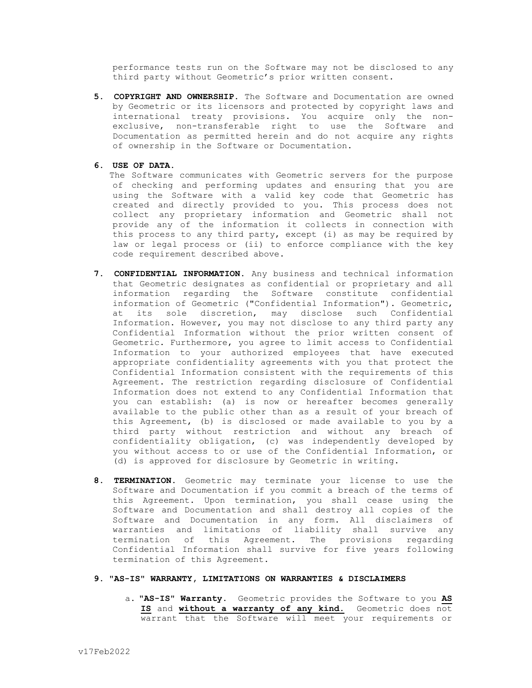performance tests run on the Software may not be disclosed to any third party without Geometric's prior written consent.

- **5. COPYRIGHT AND OWNERSHIP.** The Software and Documentation are owned by Geometric or its licensors and protected by copyright laws and international treaty provisions. You acquire only the nonexclusive, non-transferable right to use the Software and Documentation as permitted herein and do not acquire any rights of ownership in the Software or Documentation.
- **6. USE OF DATA.**

The Software communicates with Geometric servers for the purpose of checking and performing updates and ensuring that you are using the Software with a valid key code that Geometric has created and directly provided to you. This process does not collect any proprietary information and Geometric shall not provide any of the information it collects in connection with this process to any third party, except (i) as may be required by law or legal process or (ii) to enforce compliance with the key code requirement described above.

- **7. CONFIDENTIAL INFORMATION.** Any business and technical information that Geometric designates as confidential or proprietary and all information regarding the Software constitute confidential information of Geometric ("Confidential Information"). Geometric, at its sole discretion, may disclose such Confidential Information. However, you may not disclose to any third party any Confidential Information without the prior written consent of Geometric. Furthermore, you agree to limit access to Confidential Information to your authorized employees that have executed appropriate confidentiality agreements with you that protect the Confidential Information consistent with the requirements of this Agreement. The restriction regarding disclosure of Confidential Information does not extend to any Confidential Information that you can establish: (a) is now or hereafter becomes generally available to the public other than as a result of your breach of this Agreement, (b) is disclosed or made available to you by a third party without restriction and without any breach of confidentiality obligation, (c) was independently developed by you without access to or use of the Confidential Information, or (d) is approved for disclosure by Geometric in writing.
- **8. TERMINATION.** Geometric may terminate your license to use the Software and Documentation if you commit a breach of the terms of this Agreement. Upon termination, you shall cease using the Software and Documentation and shall destroy all copies of the Software and Documentation in any form. All disclaimers of warranties and limitations of liability shall survive any termination of this Agreement. The provisions regarding Confidential Information shall survive for five years following termination of this Agreement.

# **9. "AS-IS" WARRANTY, LIMITATIONS ON WARRANTIES & DISCLAIMERS**

a. **"AS-IS" Warranty.** Geometric provides the Software to you **AS IS** and **without a warranty of any kind.** Geometric does not warrant that the Software will meet your requirements or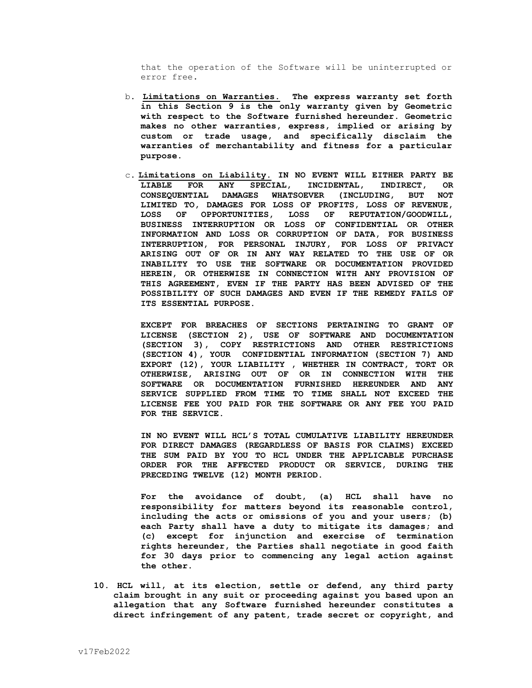that the operation of the Software will be uninterrupted or error free**.**

- b. **Limitations on Warranties. The express warranty set forth in this Section 9 is the only warranty given by Geometric with respect to the Software furnished hereunder. Geometric makes no other warranties, express, implied or arising by custom or trade usage, and specifically disclaim the warranties of merchantability and fitness for a particular purpose.**
- c**. Limitations on Liability. IN NO EVENT WILL EITHER PARTY BE LIABLE FOR ANY SPECIAL, INCIDENTAL, INDIRECT, OR CONSEQUENTIAL DAMAGES WHATSOEVER (INCLUDING, BUT NOT LIMITED TO, DAMAGES FOR LOSS OF PROFITS, LOSS OF REVENUE, LOSS OF OPPORTUNITIES, LOSS OF REPUTATION/GOODWILL, BUSINESS INTERRUPTION OR LOSS OF CONFIDENTIAL OR OTHER INFORMATION AND LOSS OR CORRUPTION OF DATA, FOR BUSINESS INTERRUPTION, FOR PERSONAL INJURY, FOR LOSS OF PRIVACY ARISING OUT OF OR IN ANY WAY RELATED TO THE USE OF OR INABILITY TO USE THE SOFTWARE OR DOCUMENTATION PROVIDED HEREIN, OR OTHERWISE IN CONNECTION WITH ANY PROVISION OF THIS AGREEMENT, EVEN IF THE PARTY HAS BEEN ADVISED OF THE POSSIBILITY OF SUCH DAMAGES AND EVEN IF THE REMEDY FAILS OF ITS ESSENTIAL PURPOSE.**

**EXCEPT FOR BREACHES OF SECTIONS PERTAINING TO GRANT OF LICENSE (SECTION 2), USE OF SOFTWARE AND DOCUMENTATION (SECTION 3), COPY RESTRICTIONS AND OTHER RESTRICTIONS (SECTION 4), YOUR CONFIDENTIAL INFORMATION (SECTION 7) AND EXPORT (12), YOUR LIABILITY , WHETHER IN CONTRACT, TORT OR OTHERWISE, ARISING OUT OF OR IN CONNECTION WITH THE SOFTWARE OR DOCUMENTATION FURNISHED HEREUNDER AND ANY SERVICE SUPPLIED FROM TIME TO TIME SHALL NOT EXCEED THE LICENSE FEE YOU PAID FOR THE SOFTWARE OR ANY FEE YOU PAID FOR THE SERVICE.**

**IN NO EVENT WILL HCL'S TOTAL CUMULATIVE LIABILITY HEREUNDER FOR DIRECT DAMAGES (REGARDLESS OF BASIS FOR CLAIMS) EXCEED THE SUM PAID BY YOU TO HCL UNDER THE APPLICABLE PURCHASE ORDER FOR THE AFFECTED PRODUCT OR SERVICE, DURING THE PRECEDING TWELVE (12) MONTH PERIOD.**

**For the avoidance of doubt, (a) HCL shall have no responsibility for matters beyond its reasonable control, including the acts or omissions of you and your users; (b) each Party shall have a duty to mitigate its damages; and (c) except for injunction and exercise of termination rights hereunder, the Parties shall negotiate in good faith for 30 days prior to commencing any legal action against the other.**

**10. HCL will, at its election, settle or defend, any third party claim brought in any suit or proceeding against you based upon an allegation that any Software furnished hereunder constitutes a direct infringement of any patent, trade secret or copyright, and**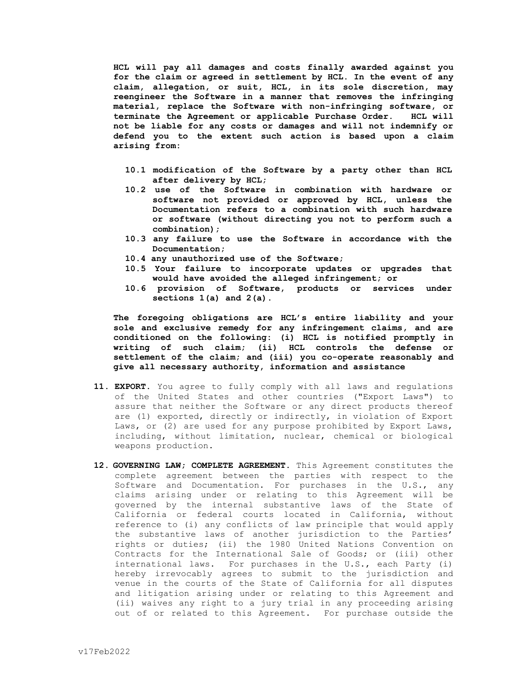**HCL will pay all damages and costs finally awarded against you for the claim or agreed in settlement by HCL. In the event of any claim, allegation, or suit, HCL, in its sole discretion, may reengineer the Software in a manner that removes the infringing material, replace the Software with non-infringing software, or terminate the Agreement or applicable Purchase Order. HCL will not be liable for any costs or damages and will not indemnify or defend you to the extent such action is based upon a claim arising from:** 

- **10.1 modification of the Software by a party other than HCL after delivery by HCL;**
- **10.2 use of the Software in combination with hardware or software not provided or approved by HCL, unless the Documentation refers to a combination with such hardware or software (without directing you not to perform such a combination);**
- **10.3 any failure to use the Software in accordance with the Documentation;**
- **10.4 any unauthorized use of the Software;**
- **10.5 Your failure to incorporate updates or upgrades that would have avoided the alleged infringement; or**
- **10.6 provision of Software, products or services under sections 1(a) and 2(a).**

**The foregoing obligations are HCL's entire liability and your sole and exclusive remedy for any infringement claims, and are conditioned on the following: (i) HCL is notified promptly in writing of such claim; (ii) HCL controls the defense or settlement of the claim; and (iii) you co-operate reasonably and give all necessary authority, information and assistance**

- **11. EXPORT.** You agree to fully comply with all laws and regulations of the United States and other countries ("Export Laws") to assure that neither the Software or any direct products thereof are (1) exported, directly or indirectly, in violation of Export Laws, or (2) are used for any purpose prohibited by Export Laws, including, without limitation, nuclear, chemical or biological weapons production.
- **12. GOVERNING LAW; COMPLETE AGREEMENT.** This Agreement constitutes the complete agreement between the parties with respect to the Software and Documentation. For purchases in the U.S., any claims arising under or relating to this Agreement will be governed by the internal substantive laws of the State of California or federal courts located in California, without reference to (i) any conflicts of law principle that would apply the substantive laws of another jurisdiction to the Parties' rights or duties; (ii) the 1980 United Nations Convention on Contracts for the International Sale of Goods; or (iii) other international laws. For purchases in the U.S., each Party (i) hereby irrevocably agrees to submit to the jurisdiction and venue in the courts of the State of California for all disputes and litigation arising under or relating to this Agreement and (ii) waives any right to a jury trial in any proceeding arising out of or related to this Agreement. For purchase outside the